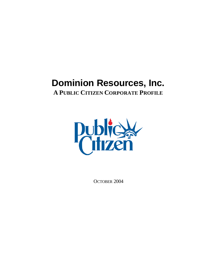# **Dominion Resources, Inc.**

**A PUBLIC CITIZEN CORPORATE PROFILE**



OCTOBER 2004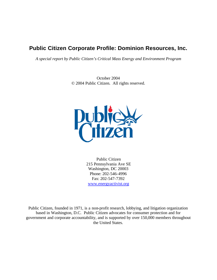# **Public Citizen Corporate Profile: Dominion Resources, Inc.**

*A special report by Public Citizen's Critical Mass Energy and Environment Program*

October 2004 © 2004 Public Citizen. All rights reserved.



Public Citizen 215 Pennsylvania Ave SE Washington, DC 20003 Phone: 202-546-4996 Fax: 202-547-7392 www.energyactivist.org

Public Citizen, founded in 1971, is a non-profit research, lobbying, and litigation organization based in Washington, D.C. Public Citizen advocates for consumer protection and for government and corporate accountability, and is supported by over 150,000 members throughout the United States.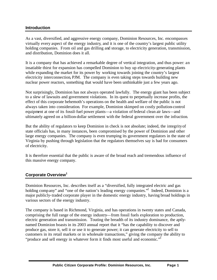#### **Introduction**

As a vast, diversified, and aggressive energy company, Dominion Resources, Inc. encompasses virtually every aspect of the energy industry, and it is one of the country's largest public utility holding companies. From oil and gas drilling and storage, to electricity generation, transmission, and distribution, Dominion does it all.

It is a company that has achieved a remarkable degree of vertical integration, and thus power: an insatiable thirst for expansion has compelled Dominion to buy up electricity-generating plants while expanding the market for its power by working towards joining the country's largest electricity interconnection, PJM. The company is even taking steps towards building new nuclear power reactors, something that would have been unthinkable just a few years ago.

Not surprisingly, Dominion has not always operated lawfully. The energy giant has been subject to a slew of lawsuits and government violations. In its quest to perpetually increase profits, the effect of this corporate behemoth's operations on the health and welfare of the public is not always taken into consideration. For example, Dominion skimped on costly pollution-control equipment at one of its fossil-fuel power plants—a violation of federal clean air laws—and ultimately agreed on a billion-dollar settlement with the federal government over the infraction.

But the ability of regulators to keep Dominion in check is not absolute; indeed, the integrity of state officials has, in many instances, been compromised by the power of Dominion and other large energy companies. The company is even trumping its government regulators in the state of Virginia by pushing through legislation that the regulators themselves say is bad for consumers of electricity.

It is therefore essential that the public is aware of the broad reach and tremendous influence of this massive energy company.

# **Corporate Overview<sup>1</sup>**

Dominion Resources, Inc. describes itself as a "diversified, fully integrated electric and gas holding company" and "one of the nation's leading energy companies."<sup>2</sup> Indeed, Dominion is a major publicly-traded corporate player in the domestic energy industry, having broad holdings in various sectors of the energy industry.

The company is based in Richmond, Virginia, and has operations in twenty states and Canada, comprising the full range of the energy industry—from fossil fuels exploration to production, electric generation and transmission. Touting the breadth of its industry dominance, the aptlynamed Dominion boasts in its 2003 annual report that it "has the capability to discover and produce gas, store it, sell it or use it to generate power; it can generate electricity to sell to customers in its retail markets or in wholesale transactions," giving the company the ability to "produce and sell energy in whatever form it finds most useful and economic."<sup>3</sup>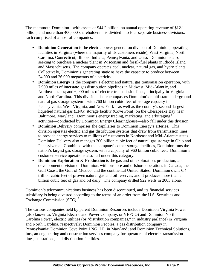The mammoth Dominion—with assets of \$44.2 billion, an annual operating revenue of \$12.1 billion, and more than 400,000 shareholders—is divided into four separate business divisions, each comprised of a host of companies:

- **Dominion Generation** is the electric power generation division of Dominion, operating facilities in Virginia (where the majority of its customers reside), West Virginia, North Carolina, Connecticut, Illinois, Indiana, Pennsylvania, and Ohio. Dominion is also seeking to purchase a nuclear plant in Wisconsin and fossil-fuel plants in Rhode Island and Massachusetts. The company operates coal, nuclear, natural gas, and hydro plants. Collectively, Dominion's generating stations have the capacity to produce between 24,000 and 26,000 megawatts of electricity.
- **Dominion Energy** is the company's electric and natural gas transmission operation, with 7,900 miles of interstate gas distribution pipelines in Midwest, Mid-Atlantic, and Northeast states; and 6,000 miles of electric transmission lines, principally in Virginia and North Carolina. This division also encompasses Dominion's multi-state underground natural gas storage system—with 760 billion cubic feet of storage capacity in Pennsylvania, West Virginia, and New York—as well as the country's second-largest liquefied natural gas (LNG) storage facility (Cove Point) on the Chesapeake Bay near Baltimore, Maryland. Dominion's energy trading, marketing, and arbitraging<sup>4</sup> activities—conducted by Dominion Energy Clearinghouse—also fall under this division.
- **Dominion Delivery** comprises the capillaries to Dominion Energy's arteries. This division operates electric and gas distribution systems that draw from transmission lines to provide energy services to millions of customers in Northeast and Mid-Atlantic states. Dominion Delivery also manages 200 billion cubic feet of natural gas storage in Ohio and Pennsylvania. Combined with the company's other storage facilities, Dominion runs the nation's largest gas storage system, with a capacity of 960 billion cubic feet. Dominion's customer service operations also fall under this category.
- **Dominion Exploration & Production** is the gas and oil exploration, production, and development division of Dominion, with onshore and offshore operations in Canada, the Gulf Coast, the Gulf of Mexico, and the continental United States. Dominion owns 6.4 trillion cubic feet of proven natural gas and oil reserves, and it produces more than a billion cubic feet of gas and oil daily. The company drilled 922 wells in 2003 alone.

Dominion's telecommunications business has been discontinued, and its financial services subsidiary is being divested according to the terms of an order from the U.S. Securities and Exchange Commission (SEC). $5$ 

The various companies held by parent Dominion Resources include Dominion Virginia Power (also known as Virginia Electric and Power Company, or VEPCO) and Dominion North Carolina Power, electric utilities (or "distribution companies," in industry parlance) in Virginia and North Carolina, respectively; Dominion Peoples, a gas distribution company in Pennsylvania; Dominion Cove Point LNG, LP, in Maryland; and Dominion Technical Solutions, Inc., an engineering and construction services company for operators of electric transmission lines, substations, and distribution facilities.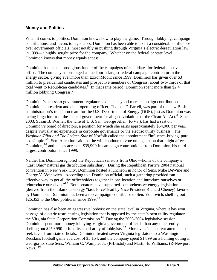### **Money and Politics**

When it comes to politics, Dominion knows how to play the game. Through lobbying, campaign contributions, and favors to legislators, Dominion has been able to exert a considerable influence over government officials, most notably in pushing through Virginia's electric deregulation law in 1999—a highly sought prize for the company. Whether on the federal or state level, Dominion knows that money equals access.

Dominion has been a prodigious funder of the campaigns of candidates for federal elective office. The company has emerged as the fourth-largest federal campaign contributor in the energy sector, giving even more than ExxonMobil: since 1999, Dominion has given over \$3 million to presidential candidates and prospective members of Congress; about two-thirds of that total went to Republican candidates.<sup>6</sup> In that same period, Dominion spent more than \$2.4 million lobbying Congress.<sup>7</sup>

Dominion's access to government regulators extends beyond mere campaign contributions. Dominion's president and chief operating officer, Thomas F. Farrell, was part of the new Bush administration's transition team for the U.S. Department of Energy (DOE), just as Dominion was facing litigation from the federal government for alleged violations of the Clean Air Act. $8$  Since 2003, Susan B. Warner, the wife of U.S. Sen. George Allen (R-Va.), has had a seat on Dominion's board of directors, a position for which she earns approximately \$54,000 per year, despite virtually no experience in corporate governance or the electric utility business. The *Virginian-Pilot and The Ledger-Star* of Norfolk called the appointment "influence-buying, pure and simple."<sup>9</sup> Sen. Allen has said that he will continue to vote on legislation that might affect Dominion, <sup>10</sup> and he has accepted \$39,900 in campaign contributions from Dominion, his thirdlargest contributor, since  $1999$ .<sup>11</sup>

Neither has Dominion ignored the Republican senators from Ohio—home of the company's "East Ohio" natural gas distribution subsidiary. During the Republican Party's 2004 national convention in New York City, Dominion hosted a luncheon in honor of Sens. Mike DeWine and George V. Voinovich. According to a Dominion official, such a gathering provided "an effective way to get all the officeholders together in one location and introduce ourselves or reintroduce ourselves."<sup>12</sup> Both senators have supported comprehensive energy legislation (derived from the infamous energy "task force" lead by Vice President Richard Cheney) favored by Dominion. Dominion has been a top campaign contributor to Sen. Voinovich, shelling out \$26,353 to the Ohio politician since  $1999$ .<sup>13</sup>

Dominion has also been an aggressive lobbyist on the state level in Virginia, where it has won passage of electric restructuring legislation that is opposed by the state's own utility regulator, the Virginia State Corporation Commission. 14 During the 2003-2004 legislative session, Dominion spent more money lobbying Virginia government officials than any other entity, shelling out \$459,990 to fund its small army of lobbyists.<sup>15</sup> Moreover, in apparent attempts to seek favor from state officials, Dominion treated seven Virginia legislators to a Washington Redskins football game at a cost of \$3,154, and the company spent \$1,899 on a hunting outing in Georgia for state Sens. William C. Wampler Jr. (R-Bristol) and Martin E. Williams, (R-Newport News).  $16$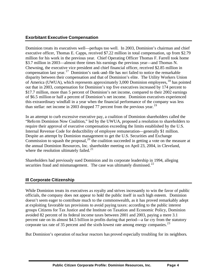# **Exorbitant Executive Compensation**

Dominion treats its executives well—perhaps too well. In 2003, Dominion's chairman and chief executive officer, Thomas E. Capps, received \$7.22 million in total compensation, up from \$2.79 million for his work in the previous year. Chief Operating Officer Thomas F. Farrell took home \$3.7 million in 2003—almost three times his earnings the previous year—and Thomas N. Chewning, the executive vice president and chief financial officer, received \$2.85 million in compensation last year.<sup>17</sup> Dominion's rank-and-file has not failed to notice the remarkable disparity between their compensation and that of Dominion's elite. The Utility Workers Union of America (UWUA), which represents approximately 3,000 Dominion employees,  $^{18}$  has pointed out that in 2003, compensation for Dominion's top five executives increased by 174 percent to \$17.7 million, more than 5 percent of Dominion's net income, compared to their 2002 earnings of \$6.5 million or half a percent of Dominion's net income. Dominion executives experienced this extraordinary windfall in a year when the financial performance of the company was less than stellar: net income in 2003 dropped 77 percent from the previous year.<sup>19</sup>

In an attempt to curb excessive executive pay, a coalition of Dominion shareholders called the "Reform Dominion Now Coalition," led by the UWUA, proposed a resolution to shareholders to require their approval of executive compensation exceeding the limits established by the U.S. Internal Revenue Code for deductibility of employee remuneration—generally \$1 million. Despite an attempt by Dominion management to get the U.S. Securities and Exchange Commission to squash the proposal,  $20$  the coalition succeeded in getting a vote on the measure at the annual Dominion Resources, Inc. shareholder meeting on April 23, 2004, in Cleveland, where the resolution ultimately failed. $21$ 

Shareholders had previously sued Dominion and its corporate leadership in 1994, alleging securities fraud and mismanagement. The case was ultimately dismissed. $^{22}$ 

# **Ill Corporate Citizenship**

While Dominion treats its executives as royalty and strives incessantly to win the favor of public officials, the company does not appear to hold the public itself in such high esteem. Dominion doesn't seem eager to contribute much to the commonwealth, as it has proved remarkably adept at exploiting favorable tax provisions to avoid paying taxes: according to the public interest groups Citizens for Tax Justice and the Institute on Taxation and Economic Policy, Dominion avoided 82 percent of its federal income taxes between 2001 and 2003, paying a mere 3.1 percent rate on its almost \$4.5 billion in profits during that period—a far cry from the statutory corporate tax rate of 35 percent and the sixth-lowest rate among energy companies.<sup>23</sup>

But Dominion's operation of nuclear reactors has proved especially troubling for its neighbors.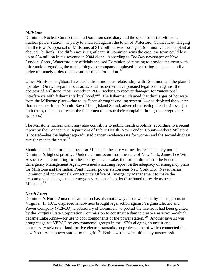#### *Millstone*

Dominion Nuclear Connecticut—a Dominion subsidiary and the operator of the Millstone nuclear power station—is party to a lawsuit against the town of Waterford, Connecticut, alleging that the town's appraisal of Millstone, at \$1.2 billion, was too high (Dominion values the plant at about \$1 billion). The difference is significant: if Dominion wins the case, the town could lose up to \$24 million in tax revenue in 2004 alone. According to *The Day* newspaper of New London, Conn., Waterford city officials accused Dominion of refusing to provide the town with information regarding the methodology the company employed in valuating its plant—until a judge ultimately ordered disclosure of this information.<sup>24</sup>

Other Millstone neighbors have had a disharmonious relationship with Dominion and the plant it operates. On two separate occasions, local fishermen have pursued legal action against the operator of Millstone, most recently in 2002, seeking to recover damages for "intentional interference with fishermen's livelihood."<sup>25</sup> The fishermen claimed that discharges of hot water from the Millstone plant—due to its "once-through" cooling system<sup>26</sup>—had depleted the winter flounder stock in the Niantic Bay of Long Island Sound, adversely affecting their business. (In both cases, the court directed the fishermen to pursue their complaint through state regulatory agencies.)

The Millstone nuclear plant may also contribute to public health problems: according to a recent report by the Connecticut Department of Public Health, New London County—where Millstone is located—has the highest age-adjusted cancer incidence rate for women and the second-highest rate for men in the state. $27$ 

Should an accident or attack occur at Millstone, the safety of nearby residents may not be Dominion's highest priority. Under a commission from the state of New York, James Lee Witt Associates—a consulting firm headed by its namesake, the former director of the Federal Emergency Management Agency—issued a scathing report on the adequacy of emergency plans for Millstone and the Indian Point nuclear power station near New York City. Nevertheless, Dominion did not compel Connecticut's Office of Emergency Management to make the recommended changes to an emergency response booklet distributed to residents near Millstone.<sup>28</sup>

#### *North Anna*

Dominion's North Anna nuclear station has also not always been welcome by its neighbors in Virginia. In 1971, displaced landowners brought legal action against Virginia Electric and Power Company (VEPCO), a subsidiary of Dominion, to protest the license it had been granted by the Virginia State Corporation Commission to construct a dam to create a reservoir—which became Lake Anna—for use to cool components of the power station.<sup>29</sup> Another lawsuit was brought against VEPCO by environmental groups in the 1970s alleging an unjust and unnecessary seizure of land for five electric transmission projects, one of which connected the new North Anna power station to the grid.<sup>30</sup> Both lawsuits were ultimately unsuccessful.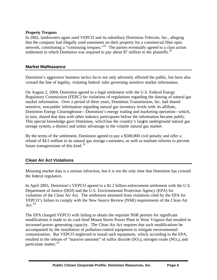#### *Property Trespass*

In 2002, landowners again sued VEPCO and its subsidiary Dominion Telecom, Inc., alleging that the company had illegally used easements on their property for a commercial fiber optic network, constituting a "continuing trespass."<sup>31</sup> The parties eventually agreed to a class action settlement in which Dominion was required to pay about \$7 million to the plaintiffs.<sup>32</sup>

#### **Market Malfeasance**

Dominion's aggressive business tactics have not only adversely affected the public, but have also crossed the line of legality, violating federal rules governing sensitive market information.

On August 2, 2004, Dominion agreed to a legal settlement with the U.S. Federal Energy Regulatory Commission (FERC) for violations of regulations regarding the sharing of natural gas market information. Over a period of three years, Dominion Transmission, Inc. had shared sensitive, non-public information regarding natural gas inventory levels with its affiliate, Dominion Energy Clearinghouse—Dominion's energy trading and marketing operation—which, in turn, shared that data with other industry participants before the information became public. This special knowledge gave Dominion, which has the country's largest underground natural gas storage system, a distinct and unfair advantage in the volatile natural gas market.

By the terms of the settlement, Dominion agreed to pay a \$500,000 civil penalty and offer a refund of \$4.5 million to its natural gas storage customers, as well as institute reforms to prevent future transgressions of this kind. $33$ 

#### **Clean Air Act Violations**

Misusing market data is a serious infraction, but it is not the only time that Dominion has crossed the federal regulators.

In April 2003, Dominion's VEPCO agreed to a \$1.2 billion enforcement settlement with the U.S. Department of Justice (DOJ) and the U.S. Environmental Protection Agency (EPA) for violations of the Clean Air Act. The settlement stemmed from violations cited by the EPA for VEPCO's failure to comply with the New Source Review (NSR) requirements of the Clean Air Act.<sup>34</sup>

The EPA charged VEPCO with failing to obtain the requisite NSR permits for significant modifications it made to its coal-fired Mount Storm Power Plant in West Virginia that resulted in increased power-generating capacity. The Clean Air Act requires that such modifications be accompanied by the installation of pollution-control equipment to mitigate environmental contamination. But VEPCO neglected to install such equipment, which, according to the EPA, resulted in the release of "massive amounts" of sulfur dioxide  $(SO_2)$ , nitrogen oxide  $(NO_x)$ , and particulate matter.<sup>35</sup>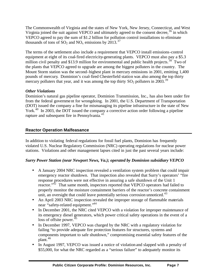The Commonwealth of Virginia and the states of New York, New Jersey, Connecticut, and West Virginia joined the suit against VEPCO and ultimately agreed to the consent decree,  $36$  in which VEPCO agreed to pay the sum of \$1.2 billion for pollution control installations to eliminate thousands of tons of  $SO_2$  and  $NO_x$  emissions by 2013.<sup>37</sup>

The terms of the settlement also include a requirement that VEPCO install emissions-control equipment at eight of its coal-fired electricity-generating plants. VEPCO must also pay a \$5.3 million civil penalty and \$13.9 million for environmental and public health projects.<sup>38</sup> Two of the plants that VEPCO agreed to upgrade are among the biggest polluters in the country. The Mount Storm station was the second-highest plant in mercury emissions in 2001, emitting 1,400 pounds of mercury. Dominion's coal-fired Chesterfield station was also among the top thirty mercury polluters that year, and it was among the top thirty  $SO_2$  polluters in 2003.<sup>39</sup>

# *Other Violations*

Dominion's natural gas pipeline operator, Dominion Transmission, Inc., has also been under fire from the federal government for wrongdoing. In 2001, the U.S. Department of Transportation (DOT) issued the company a fine for mismanaging its pipeline infrastructure in the state of New York.<sup>40</sup> In 2003, the DOT issued the company a corrective action order following a pipeline rupture and subsequent fire in Pennsylvania.<sup>41</sup>

#### **Reactor Operation Malfeasance**

In addition to violating federal regulations for fossil fuel plants, Dominion has frequently violated U.S. Nuclear Regulatory Commission (NRC) operating regulations for nuclear power stations. Violations and other management lapses cited in just the past several years include:

#### *Surry Power Station (near Newport News, Va.); operated by Dominion subsidiary VEPCO*

- A January 2004 NRC inspection revealed a ventilation system problem that could impair emergency reactor shutdown. That inspection also revealed that Surry's operators' "fire response procedures were not effective in assuring a safe shutdown of the Unit 1 reactor."<sup>42</sup> That same month, inspectors reported that VEPCO operators had failed to properly monitor the moisture containment barriers of the reactor's concrete containment unit, an oversight that could leave potentially serious corrosion unnoticed.<sup>43</sup>
- An April 2003 NRC inspection revealed the improper storage of flammable materials near "safety-related equipment."<sup>44</sup>
- In December 2001, the NRC cited VEPCO with a violation for improper maintenance of its emergency diesel generators, which power critical safety operations in the event of a loss of offsite power.<sup>45</sup>
- In December 1997, VEPCO was charged by the NRC with a regulatory violation for failing "to provide adequate fire protection features for structures, systems and components important to safe shutdown," compromising essential safety features of the plant.<sup>46</sup>
- In August 1997, VEPCO was issued a notice of violation and slapped with a penalty of \$55,000, for what the NRC regarded as a "serious failure" to adequately monitor its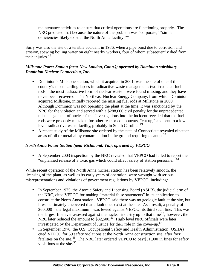maintenance activities to ensure that critical operations are functioning properly. The NRC predicted that because the nature of the problem was "corporate," "similar deficiencies likely exist at the North Anna facility."<sup>47</sup>

Surry was also the site of a terrible accident in 1986, when a pipe burst due to corrosion and erosion, spewing boiling water on eight nearby workers, four of whom subsequently died from their injuries.<sup>48</sup>

#### *Millstone Power Station (near New London, Conn.); operated by Dominion subsidiary Dominion Nuclear Connecticut, Inc.*

- Dominion's Millstone station, which it acquired in 2001, was the site of one of the country's most startling lapses in radioactive waste management: two irradiated fuel rods—the most radioactive form of nuclear waste—were found missing, and they have never been recovered. The Northeast Nuclear Energy Company, from which Dominion acquired Millstone, initially reported the missing fuel rods at Millstone in 2000. Although Dominion was not operating the plant at the time, it was sanctioned by the NRC for the violation and served with a \$288,000 civil penalty for the unprecedented mismanagement of nuclear fuel. Investigations into the incident revealed that the fuel rods were probably mistaken for other reactor components, "cut up," and sent to a lowlevel radioactive waste facility, probably in South Carolina. 49
- A recent study of the Millstone site ordered by the state of Connecticut revealed nineteen areas of oil or metal alloy contamination in the ground requiring cleanup.<sup>50</sup>

#### *North Anna Power Station (near Richmond, Va.); operated by VEPCO*

• A September 2003 inspection by the NRC revealed that VEPCO had failed to report the "unplanned release of a toxic gas which could affect safety of station personnel."<sup>51</sup>

While recent operation of the North Anna nuclear station has been relatively smooth, the licensing of the plant, as well as its early years of operation, were wrought with serious misrepresentations and violations of government regulations by VEPCO, including:

- In September 1975, the Atomic Safety and Licensing Board (ASLB), the judicial arm of the NRC, cited VEPCO for making "material false statements" in its application to construct the North Anna station. VEPCO said there was no geologic fault at the site, but it was ultimately uncovered that a fault does exist at the site. As a result, a penalty of \$60,000—the legal maximum—was levied against VEPCO, its third such fine. This was the largest fine ever assessed against the nuclear industry up to that time<sup>52</sup>; however, the NRC later reduced the amount to  $$32,500<sup>53</sup>$  High-level NRC officials were later investigated by the Department of Justice for their role in the cover-up.<sup>54</sup>
- In September 1976, the U.S. Occupational Safety and Health Administration (OSHA) cited VEPCO for 59 safety violations at the North Anna construction site, after four fatalities on the site.<sup>55</sup> The NRC later ordered VEPCO to pay \$31,900 in fines for safety violations at the site. 56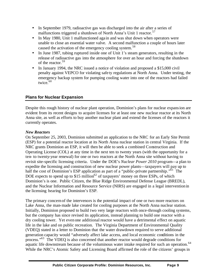- In September 1979, radioactive gas was discharged into the air after a series of malfunctions triggered a shutdown of North Anna's Unit 1 reactor.<sup>57</sup>
- In May 1980, Unit 1 malfunctioned again and was shut down when operators were unable to close an essential water valve. A second malfunction a couple of hours later caused the activation of the emergency cooling system.<sup>58</sup>
- In June 1987, tubing ruptured inside one of Unit 1's steam generators, resulting in the release of radioactive gas into the atmosphere for over an hour and forcing the shutdown of the reactor.<sup>59</sup>
- In January 1994, the NRC issued a notice of violation and proposed a \$15,000 civil penalty against VEPCO for violating safe ty regulations at North Anna. Under testing, the emergency backup system for pumping cooling water into one of the reactors had failed twice. $60$

# **Plans for Nuclear Expansion**

Despite this rough history of nuclear plant operation, Dominion's plans for nuclear expansion are evident from its recent designs to acquire licenses for at least one new nuclear reactor at its North Anna site, as well as efforts to buy another nuclear plant and extend the licenses of the reactors it currently operates.

#### *New Reactors*

On September 25, 2003, Dominion submitted an application to the NRC for an Early Site Permit (ESP) for a potential reactor location at its North Anna nuclear station in central Virginia. If the NRC grants Dominion an ESP, it will then be able to seek a combined Construction and Operating License (COL) at any time in the next ten to twenty years (with the opportunity for a ten- to twenty-year renewal) for one or two reactors at the North Anna site without having to revisit site-specific licensing criteria. Under the DOE's *Nuclear Power 2010* program—a plan to expedite the licensing and construction of new nuclear power plants—taxpayers will pay up to half the cost of Dominion's ESP application as part of a "public-private partnership."<sup>61</sup> The DOE expects to spend up to \$15 million<sup>62</sup> of taxpayers' money on three ESPs, of which Dominion's is one. Public Citizen, the Blue Ridge Environmental Defense League (BREDL), and the Nuclear Information and Resource Service (NIRS) are engaged in a legal intervention in the licensing hearing for Dominion's ESP.

The primary concern of the intervenors is the potential impact of one or two more reactors on Lake Anna, the man-made lake created for cooling purposes at the North Anna nuclear station. Initially, Dominion proposed to build two very large reactors with once-through cooling systems, but the company has since revised its application, instead planning to build one reactor with a dry cooling tower. Yet even one additional reactor would have a detrimental effect on aquatic life in the lake and on public recreation. The Virginia Department of Environmental Quality (VDEQ) stated in a letter to Dominion that the water drawdown required to serve additional generation capacity would "adversely affect lake access, and local economic conditions in the process."<sup>63</sup> The VDEQ is also concerned that another reactor would degrade conditions for aquatic life downstream because of the voluminous water intake required for such an operation.<sup>64</sup> While the NRC's Atomic Safety and Licensing Board affirmed the role of the citizens' groups in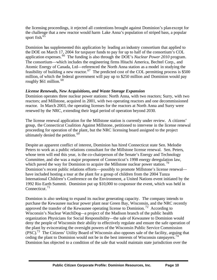the licensing proceedings, it rejected all contentions brought against Dominion's plan except for the challenge that a new reactor would harm Lake Anna's population of striped bass, a popular sport fish. 65

Dominion has supplemented this application by leading an industry consortium that applied to the DOE on March 17, 2004 for taxpayer funds to pay for up to half of the consortium's COL application expenses. 66 The funding is also through the DOE's *Nuclear Power 2010* program. The consortium—which includes the engineering firms Hitachi America, Bechtel Corp., and Atomic Energy of Canada, Ltd—referenced the North Anna station as a model in studying the feasibility of building a new reactor.<sup>67</sup> The predicted cost of the COL permitting process is \$500 million, of which the federal government will pay up to \$250 million and Dominion would pay roughly \$61 million.<sup>68</sup>

#### *License Renewals, New Acquisitions, and Waste Storage Expansion*

Dominion operates three nuclear power stations: North Anna, with two reactors; Surry, with two reactors; and Millstone, acquired in 2001, with two operating reactors and one decommissioned reactor. In March 2003, the operating licenses for the reactors at North Anna and Surry were renewed by the NRC, extending their legal period of operation beyond 2030.

The license renewal application for the Millstone station is currently under review. A citizens' group, the Connecticut Coalition Against Millstone, petitioned to intervene in the license renewal proceeding for operation of the plant, but the NRC licensing board assigned to the project ultimately denied the petition. <sup>69</sup>

Despite an apparent conflict of interest, Dominion has hired Connecticut state Sen. Melodie Peters to work as a public relations consultant for the Millstone license renewal. Sen. Peters, whose term will end this year, is the co-chairperson of the Senate's Energy and Technology Committee, and she was a major proponent of Connecticut's 1998 energy deregulation law, which paved the way for Dominion to acquire the Millstone nuclear power station.<sup>70</sup> Dominion's recent public relations efforts—possibly to promote Millstone's license renewal have included hosting a tour at the plant for a group of children from the 2004 Tunza International Children's Conference on the Environment, a United Nations event initiated by the 1992 Rio Earth Summit. Dominion put up \$10,000 to cosponsor the event, which was held in Connecticut. 71

Dominion is also seeking to expand its nuclear generating capacity. The company intends to purchase the Kewaunee nuclear power plant near Green Bay, Wisconsin, and the NRC recently approved the transfer of the Kewaunee operating license to Dominion.<sup>72</sup> According to Wisconsin's Nuclear WatchDog—a project of the Madison branch of the public health organization Physicians for Social Responsibility—the sale of Kewaunee to Dominion would deny the people of Wisconsin their ability to effectively regulate and ensure the safe operation of the plant by eviscerating the oversight powers of the Wisconsin Public Service Commission (PSC).<sup>73</sup> The Citizens' Utility Board of Wisconsin also opposes sale of the facility, arguing that ceding the plant to Dominion would not be in the best interests of Wisconsin ratepayers.<sup>74</sup> Dominion has objected to a condition of the sale that would maintain state jurisdiction over the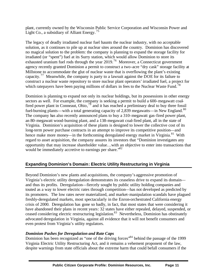plant, currently owned by the Wisconsin Public Service Corporation and Wisconsin Power and Light Co., a subsidiary of Alliant Energy.<sup>75</sup>

The legacy of deadly irradiated nuclear fuel haunts the nuclear industry, with no acceptable solution, as it continues to pile up at nuclear sites around the country. Dominion has discovered no magical solution to the problem: the company is planning to expand the storage facility for irradiated (or "spent") fuel at its Surry station, which would allow Dominion to store its exhausted uranium fuel rods through the year  $2019$ .<sup>76</sup> Moreover, a Connecticut government agency recently granted Dominion a permit to construct a two-acre "dry cask" storage facility at Millstone to accommodate the glut of nuclear waste that is overflowing the plant's existing capacity.<sup>77</sup> Meanwhile, the company is party to a lawsuit against the DOE for its failure to construct a nuclear waste repository to store nuclear plant operators' irradiated fuel, a project for which ratepayers have been paying millions of dollars in fees to the Nuclear Waste Fund.<sup>78</sup>

Dominion is planning to expand not only its nuclear holdings, but its possessions in other energy sectors as well. For example, the company is seeking a permit to build a 600-megawatt coalfired power plant in Conneaut, Ohio,  $^{79}$  and it has reached a preliminary deal to buy three fossil fuel-burning plants—with a total generating capacity of 2,839 megawatts—in New England.<sup>80</sup> The company has also recently announced plans to buy a 310-megawatt gas-fired power plant, an 80-megawatt wood-burning plant, and a 138-megawatt coal-fired plant, all in the state of Virginia. Dominion's acquisition of these plants is designed to lower the collective cost of its long-term power purchase contracts in an attempt to improve its competitive position—and hence make more money—in the forthcoming deregulated energy market in Virginia.<sup>81</sup> With regard to asset acquisition, the company assures its investors that "Dominion investigates any opportunity that may increase shareholder value…with an objective to enter into transactions that would be immediately accretive to earnings per share.<sup>82</sup>

# **Expanding Dominion's Domain: Electric Utility Restructuring in Virginia**

Beyond Dominion's new plants and acquisitions, the company's aggressive promotion of Virginia's electric utility deregulation demonstrates its ceaseless drive to expand its domain and thus its profits. Deregulation—fiercely sought by public utility holding companies and touted as a way to lower electric rates through competition—has not developed as predicted by its promoters. The low rates never materialized, and market-manipulation scandals have plagued freshly-deregulated markets, most spectacularly in the Enron-orchestrated California energy crisis of 2000. Deregulation has gone so badly, in fact, that most states that were considering it have abandoned their plans in recent years: 32 states have either repealed, delayed, suspended, or ceased considering electric restructuring legislation. <sup>83</sup> Nevertheless, Dominion has obstinately advocated deregulation in Virginia, against all evidence that it will not benefit consumers and even protest from Virginia's utility regulators.

# *Dominion Pushes for Deregulation and Rate Caps*

Dominion has been recognized as "one of the driving forces"<sup>84</sup> behind the passage of the 1999 Virginia Electric Utility Restructuring Act, and it remains a vehement proponent of the law, despite warnings from state officials about the extreme harm that could befall consumers if the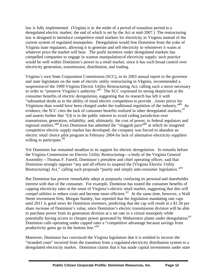law is fully implemented. (Virginia is in the midst of a period of transition period to a deregulated electric market, the end of which is set by the Act at mid-2007.) The restructuring law is designed to introduce competitive retail markets for electricity in Virginia instead of the current system of regulated monopolies. Deregulation would free Dominion from the yoke of Virginia state regulators, allowing it to generate and sell electricity to whomever it wants at whatever price the market will bear. The profit incentive under deregulated markets has compelled companies to engage in wanton manipulation of electricity supply; such practice would be well within Dominion's power in a retail market, since it has such broad control over electricity generation, transmission, distribution, and trading.

Virginia's own State Corporation Commission (SCC), in its 2003 annual report to the governor and state legislature on the state of electric utility restructuring in Virginia, recommended a suspension of the 1999 Virginia Electric Utility Restructuring Act, calling such a move necessary in order to "preserve Virginia's authority."<sup>85</sup> The SCC expressed its strong skepticism at the consumer benefits of electric deregulation, suggesting that its research has left it with "substantial doubt as to the ability of retail electric competition to provide…lower prices for Virginians than would have been charged under the traditional regulation of the industry."<sup>86</sup> As evidence, the SCC cites the lack of consumer benefits realized in other deregulated markets,  $87$ and asserts further that "[i]t is in the public interest to avoid ceding jurisdiction over transmission, generation, reliability, and, ultimately, the cost of power, to federal regulators and regional entities."<sup>88</sup> Even Dominion has admitted the "sluggish pace"<sup>89</sup> at which its imagined competitive electric supply market has developed; the company was forced to abandon an electric retail choice pilot program in February 2004 for lack of alternative electricity suppliers willing to participate. $90$ 

Yet Dominion has remained steadfast in its support for electric deregulation. In remarks before the Virginia Commission on Electric Utility Restructuring—a body of the Virginia General Assembly—Thomas F. Farrell, Dominion's president and chief operating officer, said that Dominion strongly opposes "any and all efforts to suspend the [Virginia Electric Utility Restructuring] Act," calling such proposals "purely and simply anti-consumer legislation."<sup>91</sup>

But Dominion has proven remarkably adept at purposely confusing its personal and shareholder interest with that of the consumer. For example, Dominion has touted the consumer benefits of capping electricity rates at the onset of Virginia's electric retail market, suggesting that this will compel utilities to reduce costs and become more efficient.<sup>92</sup> At the same time, however, a Wall Street investment firm, Morgan Stanley, has reported that the legislation mandating rate caps until 2011 is good news for Dominion investors, predicting that the cap will result in a \$1.50 per share increase of Dominion's value, since Dominion's electric transmission division will be able to purchase power from its generation division at a set rate in a virtual monopoly while potentially having access to cheaper power generated by Midwestern plants under deregulation.<sup>93</sup> Dominion calls operating under capped rates a "competitive advantage because savings from productivity gains go to the bottom line."<sup>94</sup>

Moreover, Dominion has convinced the Virginia legislature that it is entitled to recover the "stranded costs" incurred from the transition from a regulated electricity distribution system to a deregulated electricity market. Dominion claims that it has made capital investments under state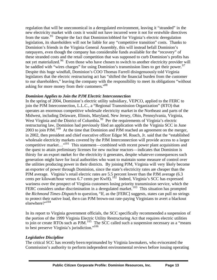regulation that will be uneconomical in a deregulated environment, leaving it "stranded" in the new electricity market with costs it would not have incurred were it not for erstwhile directives from the state.<sup>95</sup> Despite the fact that Dominion lobbied for Virginia's electric deregulation legislation, its shareholders will not be liable for any "competitive transition" costs. Thanks to Dominion's friends in the Virginia General Assembly, this will instead befall Dominion's ratepayers, even though the company has considerable funds available for the "recovery" of these stranded costs and the retail competition that was supposed to curb Dominion's profits has not yet materialized.<sup>96</sup> Even those who have chosen to switch to another electricity provider will be saddled with "wires charges" for using Dominion's transmission lines to get their power.<sup>97</sup> Despite this huge windfall, Dominion's COO Thomas Farrell disingenuously told Virginia legislators that the electric restructuring act has "shifted the financial burden from the customer to our shareholders," leaving the company with the responsibility to meet its obligations "without asking for more money from their customers."<sup>98</sup>

#### *Dominion Applies to Join the PJM Electric Interconnection*

In the spring of 2004, Dominion's electric utility subsidiary, VEPCO, applied to the FERC to join the PJM Interconnection, L.L.C., a "Regional Transmission Organization" (RTO) that operates an enormous competitive wholesale electricity market in the Northeast and parts of the Midwest, including Delaware, Illinois, Maryland, New Jersey, Ohio, Pennsylvania, Virginia, West Virginia and the District of Columbia.<sup>99</sup> Per the requirements of Virginia's electric restructuring law, Dominion had previously filed an application with the Virginia SCC in June 2003 to join PJM.<sup>100</sup> At the time that Dominion and PJM reached an agreement on the merger, in 2002, then president and chief executive officer Edgar M. Roach, Jr. said that the "established wholesale electricity markets covered by the PJM Interconnection will provide access to a larger competitive market..."<sup>101</sup> This statement—combined with recent power plant acquisitions and the quest to attain preliminary licenses for new nuclear reactors—indicates that Dominion is thirsty for an export market for the electricity it generates, despite whatever consequences such generation might have for local authorities who want to maintain some measure of control over the utilities producing power in their districts. By joining PJM, Virginia will very likely become an exporter of power through Dominion, since the state's electricity rates are cheaper than the PJM average. Virginia's retail electric rates are 5.5 percent lower than the PJM average (6.3 cents per kilowatt/hour versus 6.7 cents per KwH).<sup>102</sup> Indeed, Virginia's SCC has expressed wariness over the prospect of Virginia customers losing priority transmission service, which the FERC considers undue discrimination in a deregulated market.<sup>103</sup> This situation has prompted the *Richmond Times-Dispatch* to question, "If, as the [FERC] suggests, states can pull no strings to protect their native load, then can PJM brown-out rate-paying Virginians to avert a blackout elsewhere?"<sup>104</sup>

In its report to Virginia government officials, the SCC specifically recommended a suspension of the portion of the 1999 Virginia Electric Utility Restructuring Act that requires electric utilities to join or create RTOs such as PJM.<sup>105</sup> The SCC called such a suspension necessary as a "means" to best preserve Virginia's jurisdiction."<sup>106</sup>

#### *Legislative Discipline*

The critical SCC has recently been reprimanded by Virginia lawmakers, who eviscerated the Commission's authority to perform independent environmental reviews before issuing operating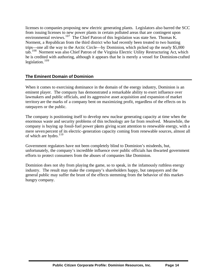licenses to companies proposing new electric generating plants. Legislators also barred the SCC from issuing licenses to new power plants in certain polluted areas that are contingent upon environmental reviews.<sup>107</sup> The Chief Patron of this legislation was state Sen. Thomas K. Norment, a Republican from the third district who had recently been treated to two hunting trips—one all the way to the Arctic Circle—by Dominion, which picked up the nearly \$5,000 tab.<sup>108</sup> Norment was also Chief Patron of the Virginia Electric Utility Restructuring Act, which he is credited with authoring, although it appears that he is merely a vessel for Dominion-crafted legislation.  $109$ 

#### **The Eminent Domain of Dominion**

When it comes to exercising dominance in the domain of the energy industry, Dominion is an eminent player. The company has demonstrated a remarkable ability to exert influence over lawmakers and public officials, and its aggressive asset acquisition and expansion of market territory are the marks of a company bent on maximizing profit, regardless of the effects on its ratepayers or the public.

The company is positioning itself to develop new nuclear generating capacity at time when the enormous waste and security problems of this technology are far from resolved. Meanwhile, the company is buying up fossil-fuel power plants giving scant attention to renewable energy, with a mere seven percent of its electric-generation capacity coming from renewable sources, almost all of which are hydro. $110$ 

Government regulators have not been completely blind to Dominion's misdeeds, but, unfortunately, the company's incredible influence over public officials has thwarted government efforts to protect consumers from the abuses of companies like Dominion.

Dominion does not shy from playing the game, so to speak, in the infamously ruthless energy industry. The result may make the company's shareholders happy, but ratepayers and the general public may suffer the brunt of the effects stemming from the behavior of this markethungry company.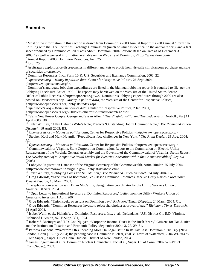#### **Endnotes**

 $\overline{a}$ 

<sup>1</sup> Most of the information in this section is drawn from Dominion's 2003 Annual Report, its 2003 annual "Form 10-K" filing with the U.S. Securities Exchange Commission (much of which is identical to the annual report), and a fact sheet produced by Dominion called "Facts About Dominion, 2004 Edition: Based on Data as of December 31, 2003," as well as general information available on the Web site of Dominion, <http://www.dom.com>.

<sup>5</sup> Dominion Resources, Inc., Form 10-K, U.S. Securities and Exchange Commission, 2003, 22.

<sup>6</sup> *Opensecrets.org – Money in politics data*, Center for Responsive Politics, 26 Sept. 2004

<http://www.opensecrets.org/>.<br><sup>7</sup> Dominion's aggregate lobbying expenditures are listed in the biannual lobbying report it is required to file, per the Lobbying Disclosure Act of 1995. The reports may be viewed on the Web site of the United States Senate Office of Public Records, < http://sopr.senate.gov/>. Dominion's lobbying expenditures through 2000 are also posted on *Opensecrets.org – Money in politics data*, the Web site of the Center for Responsive Politics,

<http://www.opensecrets.org/lobbyists/index.asp>.

<sup>8</sup> *Opensecrets.org – Money in politics data*, Center for Responsive Politics, 2 Jan. 2001,

<http://www.opensecrets.org/2000elect/other/bush/transitioncmtes2.asp>.

<sup>9</sup> "Va.'s New Power Couple: George and Susan Allen," *The Virginian-Pilot and The Ledger-Star* [Norfolk, Va.] 11 April 2003: B8.

<sup>10</sup>Tyler Whitley, "Allen Defends Wife's Role; Predicts 'Outstanding' Job in Dominion Role," The Richmond Times-*Dispatch*, 16 April 2003: B3.

<sup>11</sup> *Opensecrets.org – Money in politics data*, Center for Responsive Politics, <http://www.opensecrets.org >.

<sup>12</sup> Stephen Koff and Mark Naymik, "Republicans face challenges in New York," *The Plain Dealer*, 29 Aug. 2004: A1.

<sup>13</sup> *Opensecrets.org – Money in politics data*, Center for Responsive Politics, <http://www.opensecrets.org >.

<sup>14</sup> Commonwealth of Virginia, State Corporation Commission, Report to the Commission on Electric Utility Restructuring of the Virginia General Assembly and the Governor of the Commonwealth of Virginia , *Status Report: The Development of a Competitive Retail Market for Electric Generation within the Commonwealth of Virginia* (2003).

<sup>15</sup> Lobbyist Registration Database of the Virginia Secretary of the Commonwealth, Anita Rimler, 25 July 2004, <http://www.commonwealth.virginia.gov/Lobbyist/database.cfm>.

<sup>16</sup> Tyler Whitely, "Lobbying Costs Top \$13 Million," *The Richmond Times-Dispatch*, 24 July 2004: B7.

<sup>17</sup> Greg Edwards, "Executives of Richmond, Va.-Based Dominion Resources Receive Hefty Raises," *Richmond Times-Dispatch*, 16 March 2003.

<sup>18</sup> Telephone conversation with Brian McCarthy, deregulation coordinator for the Utility Workers Union of America, 30 Sept. 2004.

<sup>19</sup> "Open Letter to Institutional Investors at Dominion Resources," Letter from the Utility Workers Union of America to investors, 1 April 2004.

<sup>20</sup> Greg Edwards, "Union seeks oversight on Dominion pay," *Richmond Times-Dispatch*, 24 March 2004: C1.

<sup>21</sup> Greg Edwards, "Dominion Resources investors reject shareholder approval of pay," *Richmond Times-Dispatch*, 24 April 2004.

 $^{22}$  Isobel Weill, et al., Plaintiffs, v. Dominion Resources, Inc., et al., Defendants, U.S. District Ct., E.D. Virginia, Richmond Division, 875 F.Supp. 331, 1994.

<sup>23</sup> Robert S. McIntyre and T.D. Coo Nguyen, "Corporate Income Taxes in the Bush Years," Citizens for Tax Justice and the Institute on Taxation and Economic Policy, September 2004: 3, 27, 29, 51.

<sup>24</sup> Patricia Daddona, "Waterford OKs Spending More On Legal Battle In Its Tax Case Dominion," *The Day* [New London, Conn.] 15 July 2004; the pending case is Dominion Nuclear, et al. v. Town of Waterford, 2004 WL 944759 (Conn.Super.), Super. Ct. of Conn., Judicial District of New London, 2004.

<sup>25</sup> James Engelmann et al. v. Dominion Nuclear Connecticut, Inc. et al., Super. Ct. of Conn., 2002 WL 491715 (Conn.Super.), 2002.

 $2$  Annual Report 2003, Dominion Resources, Inc., 25.

<sup>3</sup> Ibid., 25.

<sup>&</sup>lt;sup>4</sup> Arbitragers exploit price discrepancies in different markets to profit from virtually simultaneous purchase and sale of securities or currency.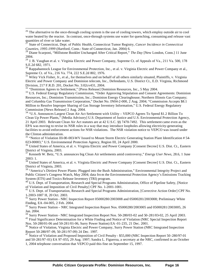$26$  The alternative to the once-through cooling system is the use of cooling towers, which employ outside air to cool water heated by the reactor. In contrast, once-through systems use water for quenching, consuming and release vast quantities of river or lake water.

<sup>27</sup> State of Connecticut, Dept. of Public Health, Connecticut Tumor Registry, *Cancer Incidence in Connecticut Counties, 1995-1999* (Hartford, Conn.: State of Connecticut, Jan. 2004) 6.

<sup>28</sup> Diane Scarponi, "Millstone Booklet Unchanged After Critical Report," *The Day* [New London, Conn.] 11 June 2004.

<sup>29</sup> J. B. Vaughan et al. v. Virginia Electric and Power Company, Supreme Ct. of Appeals of Va., 211 Va. 500, 178 S.E.2d 682, 1971.

 $30$  Rappahannock League for Environmental Protection, Inc., et al. v. Virginia Electric and Power Company et al., Supreme Ct. of Va., 216 Va. 774, 222 S.E.2d 802, 1976.

 $31$  Wiley Vick Fisher, Jr., et al., for themselves and on behalf of all others similarly situated, Plaintiffs, v. Virginia Electric and Power Company and Dominion telecom, Inc., Defendants, U.S. District Ct., E.D. Virginia, Richmond Division, 217 F.R.D. 201, Docket No. 3:02cv431, 2004.

<sup>32</sup> "Dominion Agrees to Settlement," [Press Release] Dominion Resources, Inc., 5 May 2004.

 $\overline{a}$ 

<sup>33</sup> U.S. Federal Energy Regulatory Commission, "Order Approving Stipulation and Consent Agreements: Dominion Resources, Inc.; Dominion Transmission, Inc.; Dominion Energy Clearinghouse; Northern Illinois Gas Company; and Columbia Gas Transmission Corporation," Docket No. IN04-2-000, 2 Aug. 2004; "Commission Accepts \$8.1 Million to Resolve Improper Sharing of Gas Storage Inventory Information," U.S. Federal Energy Regulatory Commission [News Release] 2 Aug. 2004.

<sup>34</sup> "U.S. Announces Largest Clean Air Act Settlement with Utility – VEPCO Agrees To Spend \$1.2 Billion To Clean Up Power Plants," [Media Advisory] U.S. Department of Justice and U.S. Environmental Protection Agency, 21 April 2003. Relevant Clean Air Act statutes are at 42 U.S.C. §§ 7470-7492. This settlement came even as the EPA was moving to revise its NSR rules in a way that may introduce loopholes allowing electricity-generating facilities to avoid enforcement actions for NSR violations. The NSR violation notice to VEPCO was issued under the Clinton administration.

<sup>35</sup> "Notice of Violation III-00-003-WV Issued to Mount Storm Electric Generating Station Plant Identification # 54-023-00003," U.S. Environmental Protection Agency, Region III, 24 April 2000.

<sup>36</sup> United States of America, et al. v. Virginia Electric and Power Company [Consent Decree] U.S. Dist. Ct., Eastern District of Virginia, 2003.

<sup>37</sup> Kenneth W. Betz, "U.S. announces big Clean Air settlements amid controversy," *Energy User News*, 28.6, 1 June 2003: 1.

<sup>38</sup> United States of America, et al. v. Virginia Electric and Power Company [Consent Decree] U.S. Dist. Ct., Eastern District of Virginia, 2003.

<sup>39</sup> "America's Dirtiest Power Plants: Plugged into the Bush Administration," Environmental Integrity Project and Public Citizen's Congress Watch, May 2004; data fro m the Environmental Protection Agency's Emissions Tracking System (ETS) and Toxics Release Inventory (TRI) program.

<sup>40</sup> U.S. Dept. of Transportation, Research and Special Programs Administration, Office of Pipeline Safety, [Notice of Violation and Imposition of Civil Penalty] CPF No. 1-2001-1001.

<sup>41</sup> U.S. Dept. of Transportation, Research and Special Programs Administration, [Corrective Action Order] CPF No. 1-2003-1007 H, 20 Oct. 2003.

<sup>42</sup> Surry Power Station - NRC Inspection Report 05000280/2003008 and 05000281/2003008; Preliminary White Finding, EA-04-005, 2 Feb. 2004.

<sup>43</sup> Surry Power Station – NRC Integrated Inspection Report Nos. 05000280/2003005 and 05000281/2003005, 26 Jan. 2004.

<sup>44</sup> Surry Power Station - NRC Integrated Inspection Report Nos. 50-280/03-02 and 50-281/03-02, 25 April 2003.

<sup>45</sup> Final Significance Determination for a White Finding and Notice of Violation (NRC Special Inspection Report Nos. 50-280/01-06 and 50-281/01-06, Surry Power Station) EA -01-235, 21 Dec. 2001.

<sup>46</sup> Notice of Violation, Virginia Electric and Power Company, Surry Power Station (NRC Integrated Inspection Report 50-280/97-09, 50-281/97-09) 24 Dec. 1997.

<sup>47</sup> Notice of Violation and Proposed Imposition of Civil Penalty - \$55,000 (NRC Inspection Report 50-280/97-01 and 50-281/97-01) EA 97-055, 29 Aug. 1997; Sandra L. Figueroa, a secretary at the NRC, confirmed in an October 1, 2004 telephone conversation that VEPCO paid this fine on September 15, 1997.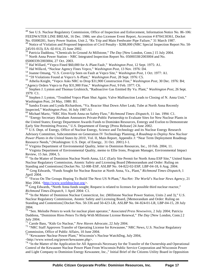<sup>48</sup> See U.S. Nuclear Regulatory Commission, Office of Inspection and Enforcement, Information Notice No. 86-106: FEEDWATER LINE BREAK, 16 Dec. 1986; see also Licensee Event Report, Accession # 8704130361, Docket No. 05000281, Surry Power Station, Unit 2, "Rx Trip and Main Feedwater Pipe Failure," 31 March 1987.

<sup>49</sup> Notice of Violation and Proposed Imposition of Civil Penalty - \$288,000 (NRC Special Inspection Report No. 50-245/01-013), EA-02-014, 25 June 2002.

<sup>50</sup> Patricia Daddona, "Chemicals In Ground At Millstone," *The Day* [New London, Conn.] 15 July 2004.

<sup>51</sup> North Anna Power Station – NRC Integrated Inspection Report No. 05000338/2003004 and No. 05000339/2003004, 27 Oct. 2003.

<sup>52</sup> Hal Willard, **"**Vepco Fined \$60,000 for A -Plant Fault," *Washington Post*, 12 Sept. 1975: A1.

<sup>53</sup> Hal Willa rd, "Nuclear Agency Fines Vepco," *Washington Post*, 13 Nov. 1976: D4.

 $\overline{a}$ 

<sup>54</sup> Joanne Omang, "U.S. Cover-Up Seen on Fault at Vepco Site," *Washington Post*, 1 Oct. 1977: A1.

<sup>55</sup> "59 Violations Found at Vepco's A-Plant," *Washington Post*, 28 Sept. 1976: C5.

<sup>56</sup> Athelia Knight, "Vepco Asks NRC to Drop \$31,900 Construction Fine," *Washington Post*, 30 Dec. 1976: B4; "Agency Orders Vepco to Pay \$31,900 Fine," *Washington Post*, 9 Feb. 1977: C6.

<sup>57</sup> Stephen J. Lynton and Thomas Grubisich, "Radioactive Gas Emitted By Va. Plant," *Washington Post*, 26 Sept. 1979: C1.

<sup>58</sup> Stephen J. Lynton, "Troubled Vepco Plant Shut Again; Valve Malfunction Leads to Closing of N. Anna Unit," Washington Post, 24 May, 1980: B1.

<sup>59</sup> Sandra Evans and Lynda Richardson, "Va. Reactor Shut Down After Leak; Tube at North Anna Recently Inspected," *Washington Post*, 16 July 1987:A1

<sup>60</sup> Michael Martz, "NRC Hits North Anna on Safety Flaw," *Richmond Times-Dispatch*, 11 Jan. 1994: C1.

<sup>61</sup> "Energy Secretary Abraham Announces Private-Public Partnership to Evaluate Sites for New Nuclear Plants in the United States; Energy Department Awards Funds to Dominion Resources, Entergy and Exelon to Demonstrate Early Site Permitting Process," U.S. Department of Energy [Press Release] 24 June 2002.

<sup>62</sup> U.S. Dept. of Energy, Office of Nuclear Energy, Science and Technology and its Nuclear Energy Research Advisory Committee, Subcommittee on Generation IV Technology Planning, *A Roadmap to Deploy New Nuclear Power Plants in the United States by 2010*, Vol. II, Main Report, Appendix J: "Near Term Deployment Roadmap Resource Needs," (Washington: U.S. Dept. of Energy, 31 Oct. 2001) J-1.

<sup>63</sup> Virginia Department of Environmental Quality, letter to Dominion Resources, Inc., 10 Feb. 2004, 11.

<sup>64</sup> Virginia Department of Environmental Quality, memo to Ellie Irons, Program Manager, Environmental Impact Review, 15 Jan. 2004, 5.

<sup>65</sup> "In the Matter of Dominion Nuclear North Anna, LLC (Early Site Permit for North Anna ESP Site," United States Nuclear Regulatory Commission, Atomic Safety and Licensing Board [Memorandum and Order: Ruling on Standing and Contentions] Docket No. 52-008-ESP, ASLBP No. 04-822-02-ESP, LBP-04-18, 6 Aug. 2004.

<sup>66</sup> Greg Edwards, "Funds Sought for Nuclear Reactor at North Anna, Va., Plant," *Richmond Times-Dispatch*, 1 April 2004.

<sup>67</sup> "Focus On The Groups Hoping To Build The Next US N-Plant," *NucNet: The World's Nuclear News Agency*, 21 May 2004. <http://www.worldnuclear.org>.

<sup>68</sup> Greg Edwards, "North Anna funds sought; Request is related to licenses for possible third nuclear reactor," *Richmond Times-Dispatch*, 1 April 2004: C1.

<sup>69</sup> "In the Matter of Dominion Nuclear Connecticut, Inc. (Millstone Nuclear Power Station, Units 2 and 3)," U.S. Nuclear Regulatory Commission, Atomic Safety and Licensing Board, [Memorandum and Order: Ruling on Standing and Contentions] Docket Nos. 50-336 and 50-423-LR, ASLBP No. 04-824-01-LR, LBP-04-15, 28 July 2004.

<sup>70</sup> "Sen. Melodie Peters to work for nuclear plant operator," *Associated Press Newswires*, 2 July 2004; Patricia Daddona, "Dominion Hires Peters To Help With Millstone License Renewal," *The Day* [New London, Conn.] 2 July 2004.

<sup>71</sup> Carole Bass, "Kids Go Nuclear," *New Haven Advocate*, 22 July 2004.

<sup>72</sup> "NRC Staff Approves Transfer of Operating License for Kewaunee," NRC News, U.S. Nuclear Regulatory Commission, Office of Public Affairs, 10 June 2004.

<sup>73</sup> "Kewaunee Nuclear Power Plant," Wisconsin's Nuclear WatchDog, July 2004,

<http://www.wnwd.org/power/kewaunee.php>.

<sup>74</sup> "In the Matter of the Application for All Approvals Necessary for the Transfer of the Ownership and Operational Control of the Kewaunee Nuclear Power Plant From Wisconsin Public Service Corporation and Wisconsin Power and Light Company to Dominion Energy Kewaunee, Inc.," Initial Brief of the Citizens Utility Board in Opposition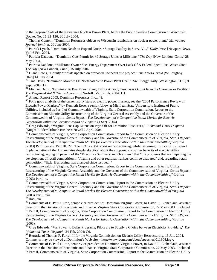to the Proposed Sale of the Kewaunee Nuclear Power Plant, before the Public Service Commission of Wisconsin, Docket No. 05-E1-136, 26 July 2004.

<sup>75</sup> Thomas Content, "Dominion Resources objects to Wisconsin restrictions on nuclear power plant," *Milwaukee Journal Sentinel*, 26 June 2004.

<sup>76</sup> Patrick Lynch, "Dominion Needs to Expand Nuclear Storage Facility in Surry, Va.," *Daily Press* [Newport News, Va.] 6 Feb. 2004.

<sup>77</sup> Patricia Daddona, "Dominion Gets Permit for 49 Storage Units at Millstone," *The Day* [New London, Conn.] 28 May 2004.

<sup>78</sup> Patricia Daddona, "Millstone Owner Sues Energy Depart ment Over Lack Of A Federal Spent Fuel Waste Site," *The Day* [New London, Conn.] 15 July 2004.

<sup>79</sup> Diana Lewis, "County officials updated on proposed Conneaut site project," *The News-Herald* [Willoughby, Ohio] 14 July 2004.

<sup>80</sup> Tina Davis, "Dominion Marches On Northeast With Power Plant Deal," *The Energy Daily* [Washington, D.C.] 9 Sept. 2004: 1+.

 $81$  Michael Davis, "Dominion to Buy Power Plant; Utility Already Purchases Output from the Chesapeake Facility," *The Virginia-Pilot & The Ledger-Star*, [Norfolk, Va.] 7 July 2004: D1.

<sup>82</sup> Annual Report 2003, Dominion Resources, Inc., 48.

<sup>83</sup> For a good analysis of the current sorry state of electric power markets, see the "2004 Performance Review of Electric Power Markets" by Kenneth Rose, a senior fellow at Michigan State University's Institute of Public Utilities, included as Part I of Commonwealth of Virginia, State Corporation Commission, Report to the Commission on Electric Utility Restructuring of the Virginia General Assembly and the Governor of the Commonwealth of Virginia, *Status Report: The Development of a Competitive Retail Market for Electric Generation within the Commonwealth of Virginia* (1 Sept. 2004).

<sup>84</sup> Greg Edwards, "Virginia Rate-Cap Extension Pays Off for Dominion Resources," *Richmond Times-Dispatch*  [Knight Ridder/Tribune Business News] 2 April 2004.

<sup>85</sup> Commonwealth of Virginia, State Corporation Commission, Report to the Commission on Electric Utility Restructuring of the Virginia General Assembly and the Governor of the Commonwealth of Virginia , *Status Report: The Development of a Competitive Retail Market for Electric Generation within the Commonwealth of Virginia* (2003) Part I, xii and Part III, 22. The SCC's 2004 report on restructuring, while refraining from calls to suspend implementation of the Act, remains deeply skeptical about the supposed consumer benefits of electric utility restructuring, saying on page iv of the "Executive Summary and Overview" that "the problems that are impeding the development of retail competition in Virginia and other regional markets continue unabated" and, regarding retail competition, "little, if anything, has changed since last year."

<sup>86</sup> Commonwealth of Virginia, State Corporation Commission, Report to the Commission on Electric Utility Restructuring of the Virginia General Assembly and the Governor of the Commonwealth of Virginia , *Status Report: The Development of a Competitive Retail Market for Electric Generation within the Commonwealth of Virginia* (2003) Part I, v.

<sup>87</sup> Commonwealth of Virginia, State Corporation Commission, Report to the Commission on Electric Utility Restructuring of the Virginia General Assembly and the Governor of the Commonwealth of Virginia , *Status Report: The Development of a Competitive Retail Market for Electric Generation within the Commonwealth of Virginia* (2003) Part I, xiii.

<sup>88</sup> Ibid., xii.

 $\overline{a}$ 

<sup>89</sup> Comments of E. Paul Hilton, senior vice president of Dominion Virginia Power, to David R. Eichenlaub, assistant director in the Division of Economic and Finance, Virginia State Corporation Commission, 22 May 2003. Included in Part II, Commonwealth of Virginia, State Corporation Commission, Report to the Commission on Electric Utility Restructuring of the Virginia General Assembly and the Governor of the Commonwealth of Virginia , *Status Report: The Development of a Competitive Retail Market for Electric Generation within the Commonwealth of Virginia* (2003).

<sup>90</sup> Greg Edwards, "Va. Power to Delay Programs; Pilots are to Supply a Choice between Electricity Providers," *The Richmond-Times-Dispatch*, 24 Feb. 2004: C6.

<sup>91</sup> Remarks of Thomas F. Farrell II for the Virginia Commission on Electric Utility Restructuring, 13 Jan. 2004. Comments may be viewed at Dominion's Web site, <http://www.dom.com/about/speeches/011304.jsp>.

 $92$  Comments of E. Paul Hilton, senior vice president of Dominion Virginia Power, to David R. Eichenlaub, assistant director in the Division of Economic and Finance, Virginia State Corporation Commission, 22 May 2003. Included in Part II, Commonwealth of Virginia, State Corporation Commission, Report to the Co mmission on Electric Utility